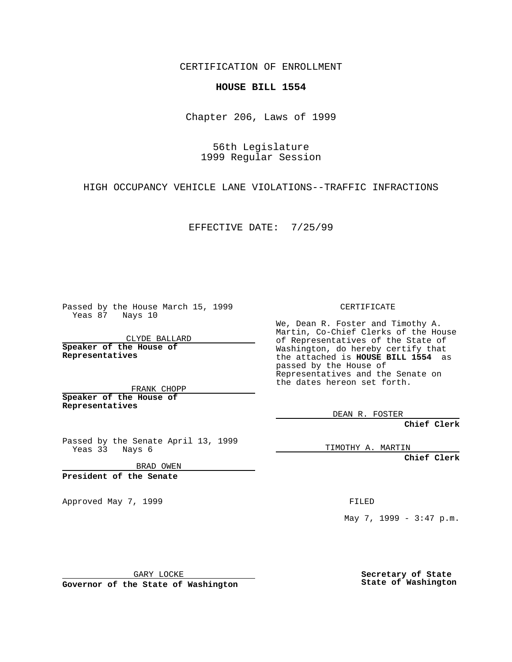CERTIFICATION OF ENROLLMENT

## **HOUSE BILL 1554**

Chapter 206, Laws of 1999

56th Legislature 1999 Regular Session

HIGH OCCUPANCY VEHICLE LANE VIOLATIONS--TRAFFIC INFRACTIONS

EFFECTIVE DATE: 7/25/99

Passed by the House March 15, 1999 Yeas 87 Nays 10

CLYDE BALLARD **Speaker of the House of Representatives**

FRANK CHOPP **Speaker of the House of Representatives**

Passed by the Senate April 13, 1999 Yeas 33 Nays 6

BRAD OWEN

**President of the Senate**

Approved May 7, 1999 **FILED** 

CERTIFICATE

We, Dean R. Foster and Timothy A. Martin, Co-Chief Clerks of the House of Representatives of the State of Washington, do hereby certify that the attached is **HOUSE BILL 1554** as passed by the House of Representatives and the Senate on the dates hereon set forth.

DEAN R. FOSTER

**Chief Clerk**

TIMOTHY A. MARTIN

**Chief Clerk**

May 7, 1999 - 3:47 p.m.

GARY LOCKE

**Governor of the State of Washington**

**Secretary of State State of Washington**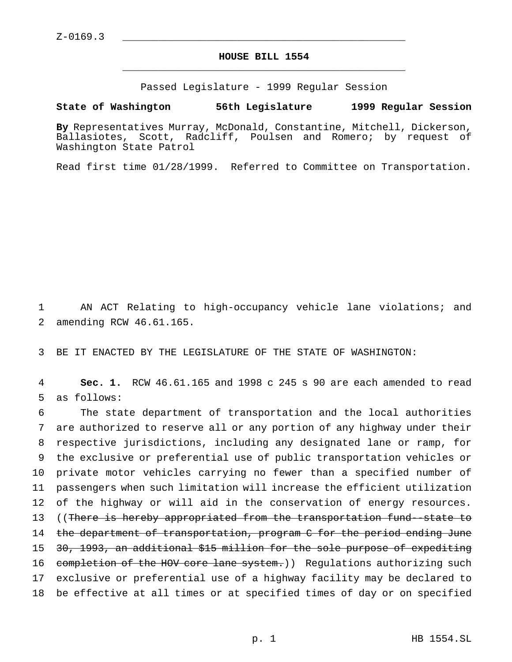## **HOUSE BILL 1554** \_\_\_\_\_\_\_\_\_\_\_\_\_\_\_\_\_\_\_\_\_\_\_\_\_\_\_\_\_\_\_\_\_\_\_\_\_\_\_\_\_\_\_\_\_\_\_

Passed Legislature - 1999 Regular Session

## **State of Washington 56th Legislature 1999 Regular Session**

**By** Representatives Murray, McDonald, Constantine, Mitchell, Dickerson, Ballasiotes, Scott, Radcliff, Poulsen and Romero; by request of Washington State Patrol

Read first time 01/28/1999. Referred to Committee on Transportation.

1 AN ACT Relating to high-occupancy vehicle lane violations; and 2 amending RCW 46.61.165.

3 BE IT ENACTED BY THE LEGISLATURE OF THE STATE OF WASHINGTON:

4 **Sec. 1.** RCW 46.61.165 and 1998 c 245 s 90 are each amended to read 5 as follows:

 The state department of transportation and the local authorities are authorized to reserve all or any portion of any highway under their respective jurisdictions, including any designated lane or ramp, for the exclusive or preferential use of public transportation vehicles or private motor vehicles carrying no fewer than a specified number of passengers when such limitation will increase the efficient utilization of the highway or will aid in the conservation of energy resources. 13 ((There is hereby appropriated from the transportation fund--state to 14 the department of transportation, program C for the period ending June 30, 1993, an additional \$15 million for the sole purpose of expediting 16 completion of the HOV core lane system.) Regulations authorizing such exclusive or preferential use of a highway facility may be declared to be effective at all times or at specified times of day or on specified